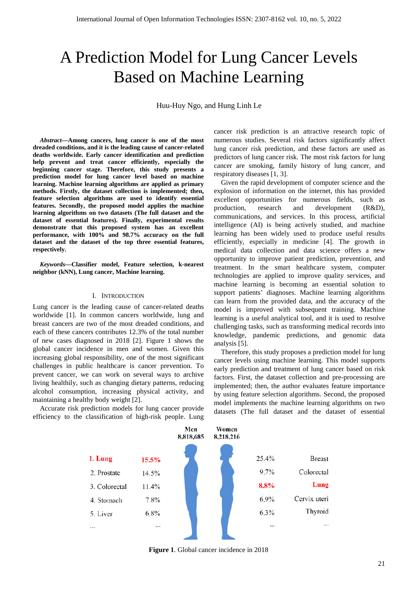# A Prediction Model for Lung Cancer Levels Based on Machine Learning

Huu-Huy Ngo, and Hung Linh Le

*Abstract***—Among cancers, lung cancer is one of the most dreaded conditions, and it is the leading cause of cancer-related deaths worldwide. Early cancer identification and prediction help prevent and treat cancer efficiently, especially the beginning cancer stage. Therefore, this study presents a prediction model for lung cancer level based on machine learning. Machine learning algorithms are applied as primary methods. Firstly, the dataset collection is implemented; then, feature selection algorithms are used to identify essential features. Secondly, the proposed model applies the machine learning algorithms on two datasets (The full dataset and the dataset of essential features). Finally, experimental results demonstrate that this proposed system has an excellent performance, with 100% and 98.7% accuracy on the full dataset and the dataset of the top three essential features, respectively.**

*Keywords***—Classifier model, Feature selection, k-nearest neighbor (kNN), Lung cancer, Machine learning.**

## I. INTRODUCTION

Lung cancer is the leading cause of cancer-related deaths worldwide [1]. In common cancers worldwide, lung and breast cancers are two of the most dreaded conditions, and each of these cancers contributes 12.3% of the total number of new cases diagnosed in 2018 [2]. Figure 1 shows the global cancer incidence in men and women. Given this increasing global responsibility, one of the most significant challenges in public healthcare is cancer prevention. To prevent cancer, we can work on several ways to archive living healthily, such as changing dietary patterns, reducing alcohol consumption, increasing physical activity, and maintaining a healthy body weight [2].

Accurate risk prediction models for lung cancer provide efficiency to the classification of high-risk people. Lung cancer risk prediction is an attractive research topic of numerous studies. Several risk factors significantly affect lung cancer risk prediction, and these factors are used as predictors of lung cancer risk. The most risk factors for lung cancer are smoking, family history of lung cancer, and respiratory diseases [1, 3].

Given the rapid development of computer science and the explosion of information on the internet, this has provided excellent opportunities for numerous fields, such as production, research and development (R&D), communications, and services. In this process, artificial intelligence (AI) is being actively studied, and machine learning has been widely used to produce useful results efficiently, especially in medicine [4]. The growth in medical data collection and data science offers a new opportunity to improve patient prediction, prevention, and treatment. In the smart healthcare system, computer technologies are applied to improve quality services, and machine learning is becoming an essential solution to support patients' diagnoses. Machine learning algorithms can learn from the provided data, and the accuracy of the model is improved with subsequent training. Machine learning is a useful analytical tool, and it is used to resolve challenging tasks, such as transforming medical records into knowledge, pandemic predictions, and genomic data analysis [5].

Therefore, this study proposes a prediction model for lung cancer levels using machine learning. This model supports early prediction and treatment of lung cancer based on risk factors. First, the dataset collection and pre-processing are implemented; then, the author evaluates feature importance by using feature selection algorithms. Second, the proposed model implements the machine learning algorithms on two datasets (The full dataset and the dataset of essential



**Figure 1**. Global cancer incidence in 2018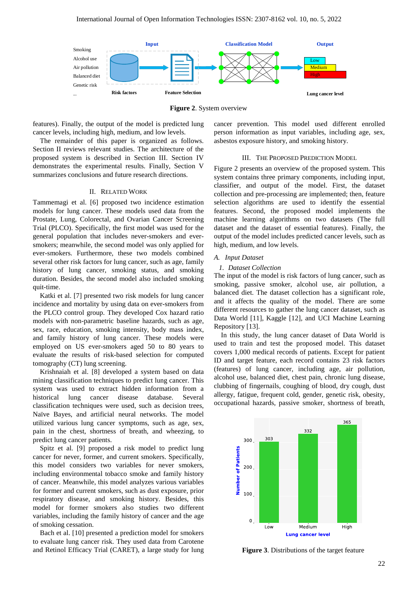

**Figure 2**. System overview

features). Finally, the output of the model is predicted lung cancer levels, including high, medium, and low levels.

The remainder of this paper is organized as follows. Section II reviews relevant studies. The architecture of the proposed system is described in Section III. Section IV demonstrates the experimental results. Finally, Section V summarizes conclusions and future research directions.

#### II. RELATED WORK

Tammemagi et al. [6] proposed two incidence estimation models for lung cancer. These models used data from the Prostate, Lung, Colorectal, and Ovarian Cancer Screening Trial (PLCO). Specifically, the first model was used for the general population that includes never-smokers and eversmokers; meanwhile, the second model was only applied for ever-smokers. Furthermore, these two models combined several other risk factors for lung cancer, such as age, family history of lung cancer, smoking status, and smoking duration. Besides, the second model also included smoking quit-time.

Katki et al. [7] presented two risk models for lung cancer incidence and mortality by using data on ever-smokers from the PLCO control group. They developed Cox hazard ratio models with non-parametric baseline hazards, such as age, sex, race, education, smoking intensity, body mass index, and family history of lung cancer. These models were employed on US ever-smokers aged 50 to 80 years to evaluate the results of risk-based selection for computed tomography (CT) lung screening.

Krishnaiah et al. [8] developed a system based on data mining classification techniques to predict lung cancer. This system was used to extract hidden information from a historical lung cancer disease database. Several classification techniques were used, such as decision trees, Naïve Bayes, and artificial neural networks. The model utilized various lung cancer symptoms, such as age, sex, pain in the chest, shortness of breath, and wheezing, to predict lung cancer patients.

Spitz et al. [9] proposed a risk model to predict lung cancer for never, former, and current smokers. Specifically, this model considers two variables for never smokers, including environmental tobacco smoke and family history of cancer. Meanwhile, this model analyzes various variables for former and current smokers, such as dust exposure, prior respiratory disease, and smoking history. Besides, this model for former smokers also studies two different variables, including the family history of cancer and the age of smoking cessation.

Bach et al. [10] presented a prediction model for smokers to evaluate lung cancer risk. They used data from Carotene and Retinol Efficacy Trial (CARET), a large study for lung cancer prevention. This model used different enrolled person information as input variables, including age, sex, asbestos exposure history, and smoking history.

#### III. THE PROPOSED PREDICTION MODEL

Figure 2 presents an overview of the proposed system. This system contains three primary components, including input, classifier, and output of the model. First, the dataset collection and pre-processing are implemented; then, feature selection algorithms are used to identify the essential features. Second, the proposed model implements the machine learning algorithms on two datasets (The full dataset and the dataset of essential features). Finally, the output of the model includes predicted cancer levels, such as high, medium, and low levels.

## *A. Input Dataset*

#### *1. Dataset Collection*

The input of the model is risk factors of lung cancer, such as smoking, passive smoker, alcohol use, air pollution, a balanced diet. The dataset collection has a significant role, and it affects the quality of the model. There are some different resources to gather the lung cancer dataset, such as Data World [11], Kaggle [12], and UCI Machine Learning Repository [13].

In this study, the lung cancer dataset of Data World is used to train and test the proposed model. This dataset covers 1,000 medical records of patients. Except for patient ID and target feature, each record contains 23 risk factors (features) of lung cancer, including age, air pollution, alcohol use, balanced diet, chest pain, chronic lung disease, clubbing of fingernails, coughing of blood, dry cough, dust allergy, fatigue, frequent cold, gender, genetic risk, obesity, occupational hazards, passive smoker, shortness of breath,



**Figure 3**. Distributions of the target feature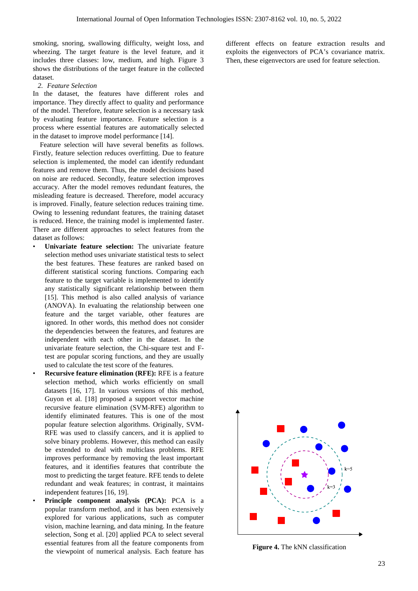smoking, snoring, swallowing difficulty, weight loss, and wheezing. The target feature is the level feature, and it includes three classes: low, medium, and high. Figure 3 shows the distributions of the target feature in the collected dataset.

#### *2. Feature Selection*

In the dataset, the features have different roles and importance. They directly affect to quality and performance of the model. Therefore, feature selection is a necessary task by evaluating feature importance. Feature selection is a process where essential features are automatically selected in the dataset to improve model performance [14].

Feature selection will have several benefits as follows. Firstly, feature selection reduces overfitting. Due to feature selection is implemented, the model can identify redundant features and remove them. Thus, the model decisions based on noise are reduced. Secondly, feature selection improves accuracy. After the model removes redundant features, the misleading feature is decreased. Therefore, model accuracy is improved. Finally, feature selection reduces training time. Owing to lessening redundant features, the training dataset is reduced. Hence, the training model is implemented faster. There are different approaches to select features from the dataset as follows:

- **Univariate feature selection:** The univariate feature selection method uses univariate statistical tests to select the best features. These features are ranked based on different statistical scoring functions. Comparing each feature to the target variable is implemented to identify any statistically significant relationship between them [15]. This method is also called analysis of variance (ANOVA). In evaluating the relationship between one feature and the target variable, other features are ignored. In other words, this method does not consider the dependencies between the features, and features are independent with each other in the dataset. In the univariate feature selection, the Chi-square test and Ftest are popular scoring functions, and they are usually used to calculate the test score of the features.
- **Recursive feature elimination (RFE):** RFE is a feature selection method, which works efficiently on small datasets [16, 17]. In various versions of this method, Guyon et al. [18] proposed a support vector machine recursive feature elimination (SVM-RFE) algorithm to identify eliminated features. This is one of the most popular feature selection algorithms. Originally, SVM-RFE was used to classify cancers, and it is applied to solve binary problems. However, this method can easily be extended to deal with multiclass problems. RFE improves performance by removing the least important features, and it identifies features that contribute the most to predicting the target feature. RFE tends to delete redundant and weak features; in contrast, it maintains independent features [16, 19].
- **Principle component analysis (PCA):** PCA is a popular transform method, and it has been extensively explored for various applications, such as computer vision, machine learning, and data mining. In the feature selection, Song et al. [20] applied PCA to select several essential features from all the feature components from the viewpoint of numerical analysis. Each feature has

different effects on feature extraction results and exploits the eigenvectors of PCA's covariance matrix. Then, these eigenvectors are used for feature selection.



**Figure 4.** The kNN classification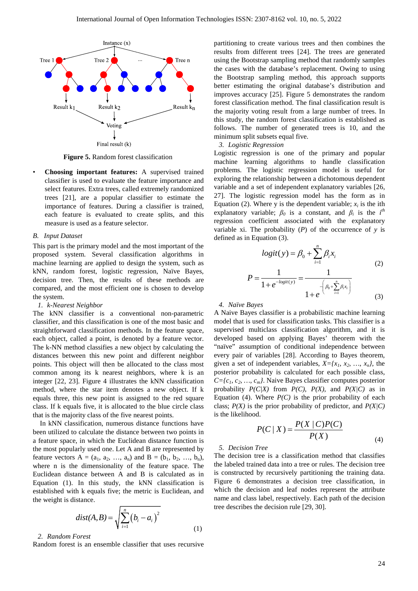

**Figure 5.** Random forest classification

• **Choosing important features:** A supervised trained classifier is used to evaluate the feature importance and select features. Extra trees, called extremely randomized trees [21], are a popular classifier to estimate the importance of features. During a classifier is trained, each feature is evaluated to create splits, and this measure is used as a feature selector.

#### *B. Input Dataset*

This part is the primary model and the most important of the proposed system. Several classification algorithms in machine learning are applied to design the system, such as kNN, random forest, logistic regression, Naïve Bayes, decision tree. Then, the results of these methods are compared, and the most efficient one is chosen to develop the system.

#### *1. k-Nearest Neighbor*

The kNN classifier is a conventional non-parametric classifier, and this classification is one of the most basic and straightforward classification methods. In the feature space, each object, called a point, is denoted by a feature vector. The k-NN method classifies a new object by calculating the distances between this new point and different neighbor points. This object will then be allocated to the class most common among its k nearest neighbors, where k is an integer [22, 23]. Figure 4 illustrates the kNN classification method, where the star item denotes a new object. If k equals three, this new point is assigned to the red square class. If k equals five, it is allocated to the blue circle class that is the majority class of the five nearest points.

In kNN classification, numerous distance functions have been utilized to calculate the distance between two points in a feature space, in which the Euclidean distance function is the most popularly used one. Let A and B are represented by feature vectors  $A = (a_1, a_2, ..., a_n)$  and  $B = (b_1, b_2, ..., b_n)$ , where n is the dimensionality of the feature space. The Euclidean distance between A and B is calculated as in Equation (1). In this study, the kNN classification is established with k equals five; the metric is Euclidean, and the weight is distance.

$$
dist(A, B) = \sqrt{\sum_{i=1}^{n} (b_i - a_i)^2}
$$
 (1)

#### *2. Random Forest*

Random forest is an ensemble classifier that uses recursive

partitioning to create various trees and then combines the results from different trees [24]. The trees are generated using the Bootstrap sampling method that randomly samples the cases with the database's replacement. Owing to using the Bootstrap sampling method, this approach supports better estimating the original database's distribution and improves accuracy [25]. Figure 5 demonstrates the random forest classification method. The final classification result is the majority voting result from a large number of trees. In this study, the random forest classification is established as follows. The number of generated trees is 10, and the minimum split subsets equal five.

#### *3. Logistic Regression*

Logistic regression is one of the primary and popular machine learning algorithms to handle classification problems. The logistic regression model is useful for exploring the relationship between a dichotomous dependent variable and a set of independent explanatory variables [26, 27]. The logistic regression model has the form as in Equation (2). Where y is the dependent variable;  $x_i$  is the ith explanatory variable;  $\beta_0$  is a constant, and  $\beta_i$  is the *i*<sup>th</sup> regression coefficient associated with the explanatory variable xi. The probability  $(P)$  of the occurrence of  $y$  is defined as in Equation (3).

$$
logit(y) = \beta_0 + \sum_{i=1}^{n} \beta_i x_i
$$
  
\n
$$
P = \frac{1}{1 + e^{-logit(y)}} = \frac{1}{1 + e^{-\left(\beta_0 + \sum_{i=1}^{n} \beta_i x_i\right)}}
$$
\n(2)

*4. Naïve Bayes*

A Naive Bayes classifier is a probabilistic machine learning model that is used for classification tasks. This classifier is a supervised multiclass classification algorithm, and it is developed based on applying Bayes' theorem with the "naïve" assumption of conditional independence between every pair of variables [28]. According to Bayes theorem, given a set of independent variables,  $X = \{x_1, x_2, ..., x_n\}$ , the posterior probability is calculated for each possible class, *C={c1, c2, …, cm}*. Naive Bayes classifier computes posterior probability  $P(C|X)$  from  $P(C)$ ,  $P(X)$ , and  $P(X|C)$  as in Equation (4). Where  $P(C)$  is the prior probability of each class;  $P(X)$  is the prior probability of predictor, and  $P(X|C)$ is the likelihood.

$$
P(C \mid X) = \frac{P(X \mid C)P(C)}{P(X)}
$$
\n(4)

*5. Decision Tree*

The decision tree is a classification method that classifies the labeled trained data into a tree or rules. The decision tree is constructed by recursively partitioning the training data. Figure 6 demonstrates a decision tree classification, in which the decision and leaf nodes represent the attribute name and class label, respectively. Each path of the decision tree describes the decision rule [29, 30].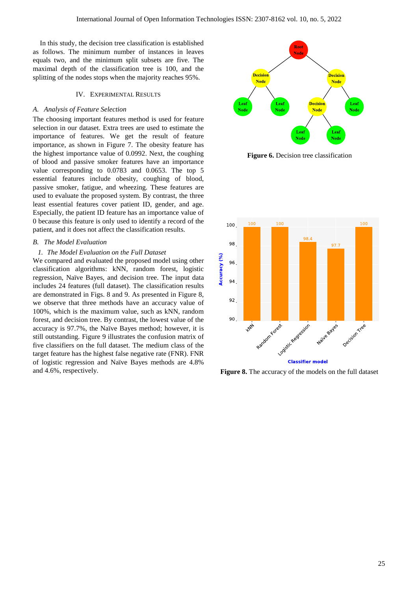In this study, the decision tree classification is established as follows. The minimum number of instances in leaves equals two, and the minimum split subsets are five. The maximal depth of the classification tree is 100, and the splitting of the nodes stops when the majority reaches 95%.

#### IV. EXPERIMENTAL RESULTS

#### *A. Analysis of Feature Selection*

The choosing important features method is used for feature selection in our dataset. Extra trees are used to estimate the importance of features. We get the result of feature importance, as shown in Figure 7. The obesity feature has the highest importance value of 0.0992. Next, the coughing of blood and passive smoker features have an importance value corresponding to 0.0783 and 0.0653. The top 5 essential features include obesity, coughing of blood, passive smoker, fatigue, and wheezing. These features are used to evaluate the proposed system. By contrast, the three least essential features cover patient ID, gender, and age. Especially, the patient ID feature has an importance value of 0 because this feature is only used to identify a record of the patient, and it does not affect the classification results.

## *B. The Model Evaluation*

#### *1. The Model Evaluation on the Full Dataset*

We compared and evaluated the proposed model using other classification algorithms: kNN, random forest, logistic regression, Naïve Bayes, and decision tree. The input data includes 24 features (full dataset). The classification results are demonstrated in Figs. 8 and 9. As presented in Figure 8, we observe that three methods have an accuracy value of 100%, which is the maximum value, such as kNN, random forest, and decision tree. By contrast, the lowest value of the accuracy is 97.7%, the Naïve Bayes method; however, it is still outstanding. Figure 9 illustrates the confusion matrix of five classifiers on the full dataset. The medium class of the target feature has the highest false negative rate (FNR). FNR of logistic regression and Naïve Bayes methods are 4.8% and 4.6%, respectively.



**Figure 6.** Decision tree classification



**Figure 8.** The accuracy of the models on the full dataset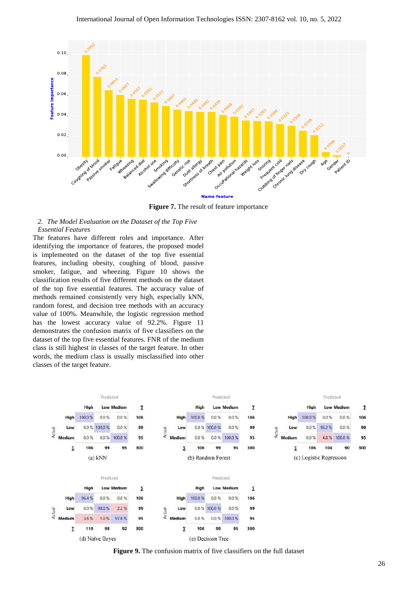

**Figure 7.** The result of feature importance

### *2. The Model Evaluation on the Dataset of the Top Five Essential Features*

The features have different roles and importance. After identifying the importance of features, the proposed model is implemented on the dataset of the top five essential features, including obesity, coughing of blood, passive smoker, fatigue, and wheezing. Figure 10 shows the classification results of five different methods on the dataset of the top five essential features. The accuracy value of methods remained consistently very high, especially kNN, random forest, and decision tree methods with an accuracy value of 100%. Meanwhile, the logistic regression method has the lowest accuracy value of 92.2%. Figure 11 demonstrates the confusion matrix of five classifiers on the dataset of the top five essential features. FNR of the medium class is still highest in classes of the target feature. In other words, the medium class is usually misclassified into other classes of the target feature.



**Figure 9.** The confusion matrix of five classifiers on the full dataset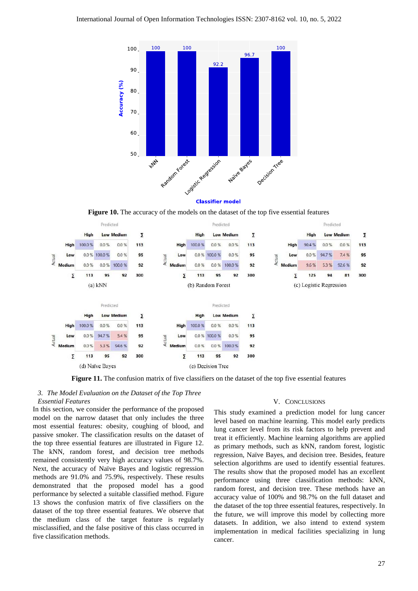

**Figure 10.** The accuracy of the models on the dataset of the top five essential features



**Figure 11.** The confusion matrix of five classifiers on the dataset of the top five essential features

## *3. The Model Evaluation on the Dataset of the Top Three*

*Essential Features*

In this section, we consider the performance of the proposed model on the narrow dataset that only includes the three most essential features: obesity, coughing of blood, and passive smoker. The classification results on the dataset of the top three essential features are illustrated in Figure 12. The kNN, random forest, and decision tree methods remained consistently very high accuracy values of 98.7%. Next, the accuracy of Naïve Bayes and logistic regression methods are 91.0% and 75.9%, respectively. These results demonstrated that the proposed model has a good performance by selected a suitable classified method. Figure 13 shows the confusion matrix of five classifiers on the dataset of the top three essential features. We observe that the medium class of the target feature is regularly misclassified, and the false positive of this class occurred in five classification methods.

#### V. CONCLUSIONS

This study examined a prediction model for lung cancer level based on machine learning. This model early predicts lung cancer level from its risk factors to help prevent and treat it efficiently. Machine learning algorithms are applied as primary methods, such as kNN, random forest, logistic regression, Naïve Bayes, and decision tree. Besides, feature selection algorithms are used to identify essential features. The results show that the proposed model has an excellent performance using three classification methods: kNN, random forest, and decision tree. These methods have an accuracy value of 100% and 98.7% on the full dataset and the dataset of the top three essential features, respectively. In the future, we will improve this model by collecting more datasets. In addition, we also intend to extend system implementation in medical facilities specializing in lung cancer.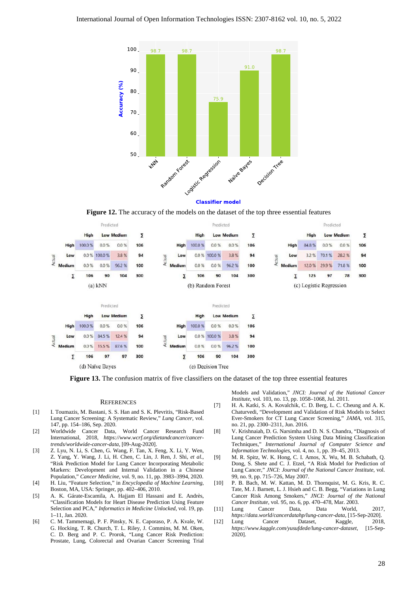

**Figure 12.** The accuracy of the models on the dataset of the top three essential features



**Figure 13.** The confusion matrix of five classifiers on the dataset of the top three essential features

#### **REFERENCES**

- [1] I. Toumazis, M. Bastani, S. S. Han and S. K. Plevritis, "Risk-Based Lung Cancer Screening: A Systematic Review," *Lung Cancer*, vol. 147, pp. 154–186, Sep. 2020.
- [2] Worldwide Cancer Data, World Cancer Research Fund International, 2018, *https://www.wcrf.org/dietandcancer/cancertrends/worldwide-cancer-data*, [09-Aug-2020].
- [3] Z. Lyu, N. Li, S. Chen, G. Wang, F. Tan, X. Feng, X. Li, Y. Wen, Z. Yang, Y. Wang, J. Li, H. Chen, C. Lin, J. Ren, J. Shi, *et al.*, "Risk Prediction Model for Lung Cancer Incorporating Metabolic Markers: Development and Internal Validation in a Chinese Population," *Cancer Medicine*, vol. 9, no. 11, pp. 3983–3994, 2020.
- [4] H. Liu, "Feature Selection," in *Encyclopedia of Machine Learning*, Boston, MA, USA: Springer, pp. 402–406, 2010.
- [5] A. K. Gárate-Escamila, A. Hajjam El Hassani and E. Andrès, "Classification Models for Heart Disease Prediction Using Feature Selection and PCA," *Informatics in Medicine Unlocked*, vol. 19, pp. 1–11, Jan. 2020.
- [6] C. M. Tammemagi, P. F. Pinsky, N. E. Caporaso, P. A. Kvale, W. G. Hocking, T. R. Church, T. L. Riley, J. Commins, M. M. Oken, C. D. Berg and P. C. Prorok, "Lung Cancer Risk Prediction: Prostate, Lung, Colorectal and Ovarian Cancer Screening Trial

Models and Validation," *JNCI: Journal of the National Cancer Institute*, vol. 103, no. 13, pp. 1058–1068, Jul. 2011.

- [7] H. A. Katki, S. A. Kovalchik, C. D. Berg, L. C. Cheung and A. K. Chaturvedi, "Development and Validation of Risk Models to Select Ever-Smokers for CT Lung Cancer Screening," *JAMA*, vol. 315, no. 21, pp. 2300–2311, Jun. 2016.
- [8] V. Krishnaiah, D. G. Narsimha and D. N. S. Chandra, "Diagnosis of Lung Cancer Prediction System Using Data Mining Classification Techniques," *International Journal of Computer Science and Information Technologies*, vol. 4, no. 1, pp. 39–45, 2013.
- [9] M. R. Spitz, W. K. Hong, C. I. Amos, X. Wu, M. B. Schabath, Q. Dong, S. Shete and C. J. Etzel, "A Risk Model for Prediction of Lung Cancer," *JNCI: Journal of the National Cancer Institute*, vol. 99, no. 9, pp. 715–726, May 2007.
- [10] P. B. Bach, M. W. Kattan, M. D. Thornquist, M. G. Kris, R. C. Tate, M. J. Barnett, L. J. Hsieh and C. B. Begg, "Variations in Lung Cancer Risk Among Smokers," *JNCI: Journal of the National Cancer Institute*, vol. 95, no. 6, pp. 470–478, Mar. 2003.
- [11] Lung Cancer Data, Data World, 2017, *https://data.world/cancerdatahp/lung-cancer-data*, [15-Sep-2020].
- [12] Lung Cancer Dataset, Kaggle, 2018, *https://www.kaggle.com/yusufdede/lung-cancer-dataset*, [15-Sep-2020].